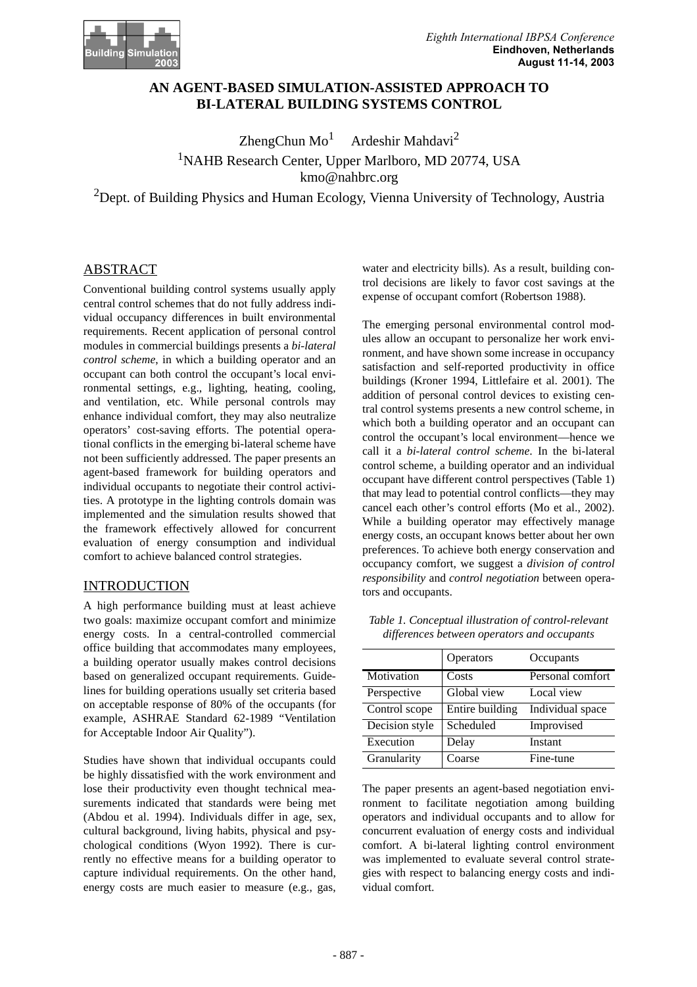

## **AN AGENT-BASED SIMULATION-ASSISTED APPROACH TO BI-LATERAL BUILDING SYSTEMS CONTROL**

ZhengChun  $Mo<sup>1</sup>$  Ardeshir Mahdavi<sup>2</sup> <sup>1</sup>NAHB Research Center, Upper Marlboro, MD 20774, USA kmo@nahbrc.org

<sup>2</sup>Dept. of Building Physics and Human Ecology, Vienna University of Technology, Austria

#### ABSTRACT

Conventional building control systems usually apply central control schemes that do not fully address individual occupancy differences in built environmental requirements. Recent application of personal control modules in commercial buildings presents a *bi-lateral control scheme*, in which a building operator and an occupant can both control the occupant's local environmental settings, e.g., lighting, heating, cooling, and ventilation, etc. While personal controls may enhance individual comfort, they may also neutralize operators' cost-saving efforts. The potential operational conflicts in the emerging bi-lateral scheme have not been sufficiently addressed. The paper presents an agent-based framework for building operators and individual occupants to negotiate their control activities. A prototype in the lighting controls domain was implemented and the simulation results showed that the framework effectively allowed for concurrent evaluation of energy consumption and individual comfort to achieve balanced control strategies.

#### INTRODUCTION

A high performance building must at least achieve two goals: maximize occupant comfort and minimize energy costs. In a central-controlled commercial office building that accommodates many employees, a building operator usually makes control decisions based on generalized occupant requirements. Guidelines for building operations usually set criteria based on acceptable response of 80% of the occupants (for example, ASHRAE Standard 62-1989 "Ventilation for Acceptable Indoor Air Quality").

Studies have shown that individual occupants could be highly dissatisfied with the work environment and lose their productivity even thought technical measurements indicated that standards were being met (Abdou et al. 1994). Individuals differ in age, sex, cultural background, living habits, physical and psychological conditions (Wyon 1992). There is currently no effective means for a building operator to capture individual requirements. On the other hand, energy costs are much easier to measure (e.g., gas, water and electricity bills). As a result, building control decisions are likely to favor cost savings at the expense of occupant comfort (Robertson 1988).

The emerging personal environmental control modules allow an occupant to personalize her work environment, and have shown some increase in occupancy satisfaction and self-reported productivity in office buildings (Kroner 1994, Littlefaire et al. 2001). The addition of personal control devices to existing central control systems presents a new control scheme, in which both a building operator and an occupant can control the occupant's local environment—hence we call it a *bi-lateral control scheme*. In the bi-lateral control scheme, a building operator and an individual occupant have different control perspectives (Table 1) that may lead to potential control conflicts—they may cancel each other's control efforts (Mo et al., 2002). While a building operator may effectively manage energy costs, an occupant knows better about her own preferences. To achieve both energy conservation and occupancy comfort, we suggest a *division of control responsibility* and *control negotiation* between operators and occupants.

| Table 1. Conceptual illustration of control-relevant |  |  |
|------------------------------------------------------|--|--|
| differences between operators and occupants          |  |  |

|                | Operators       | Occupants        |
|----------------|-----------------|------------------|
| Motivation     | Costs           | Personal comfort |
| Perspective    | Global view     | Local view       |
| Control scope  | Entire building | Individual space |
| Decision style | Scheduled       | Improvised       |
| Execution      | Delay           | Instant          |
| Granularity    | Coarse          | Fine-tune        |

The paper presents an agent-based negotiation environment to facilitate negotiation among building operators and individual occupants and to allow for concurrent evaluation of energy costs and individual comfort. A bi-lateral lighting control environment was implemented to evaluate several control strategies with respect to balancing energy costs and individual comfort.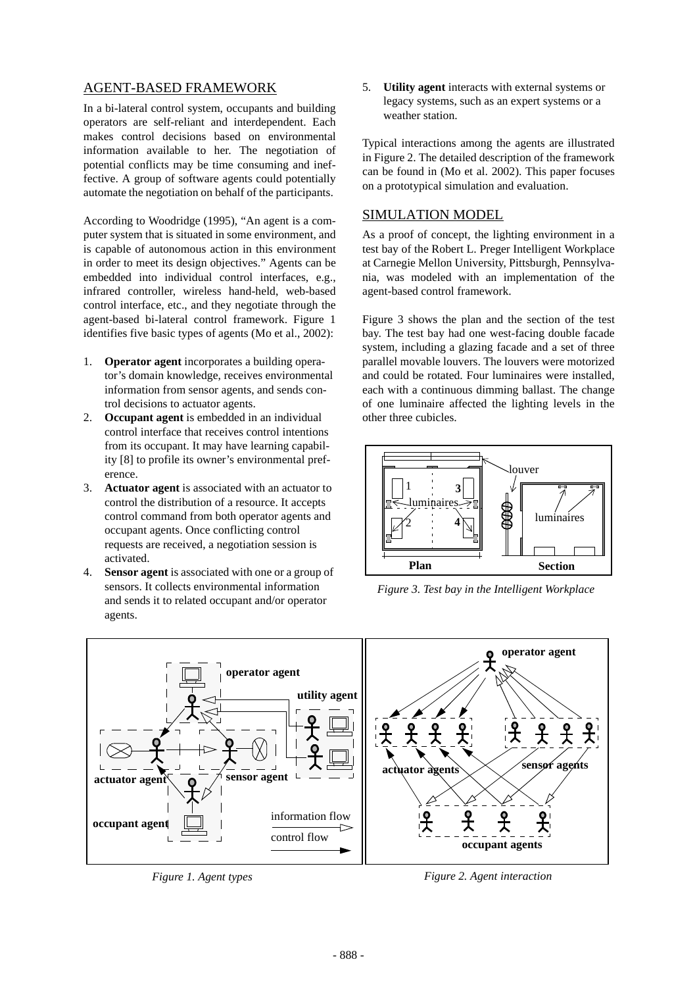# AGENT-BASED FRAMEWORK

In a bi-lateral control system, occupants and building operators are self-reliant and interdependent. Each makes control decisions based on environmental information available to her. The negotiation of potential conflicts may be time consuming and ineffective. A group of software agents could potentially automate the negotiation on behalf of the participants.

According to Woodridge (1995), "An agent is a computer system that is situated in some environment, and is capable of autonomous action in this environment in order to meet its design objectives." Agents can be embedded into individual control interfaces, e.g., infrared controller, wireless hand-held, web-based control interface, etc., and they negotiate through the agent-based bi-lateral control framework. Figure 1 identifies five basic types of agents (Mo et al., 2002):

- 1. **Operator agent** incorporates a building operator's domain knowledge, receives environmental information from sensor agents, and sends control decisions to actuator agents.
- 2. **Occupant agent** is embedded in an individual control interface that receives control intentions from its occupant. It may have learning capability [8] to profile its owner's environmental preference.
- 3. **Actuator agent** is associated with an actuator to control the distribution of a resource. It accepts control command from both operator agents and occupant agents. Once conflicting control requests are received, a negotiation session is activated.
- 4. **Sensor agent** is associated with one or a group of sensors. It collects environmental information and sends it to related occupant and/or operator agents.

5. **Utility agent** interacts with external systems or legacy systems, such as an expert systems or a weather station.

Typical interactions among the agents are illustrated in Figure 2. The detailed description of the framework can be found in (Mo et al. 2002). This paper focuses on a prototypical simulation and evaluation.

### SIMULATION MODEL

As a proof of concept, the lighting environment in a test bay of the Robert L. Preger Intelligent Workplace at Carnegie Mellon University, Pittsburgh, Pennsylvania, was modeled with an implementation of the agent-based control framework.

Figure 3 shows the plan and the section of the test bay. The test bay had one west-facing double facade system, including a glazing facade and a set of three parallel movable louvers. The louvers were motorized and could be rotated. Four luminaires were installed, each with a continuous dimming ballast. The change of one luminaire affected the lighting levels in the other three cubicles.



*Figure 3. Test bay in the Intelligent Workplace*



*Figure 1. Agent types Figure 2. Agent interaction*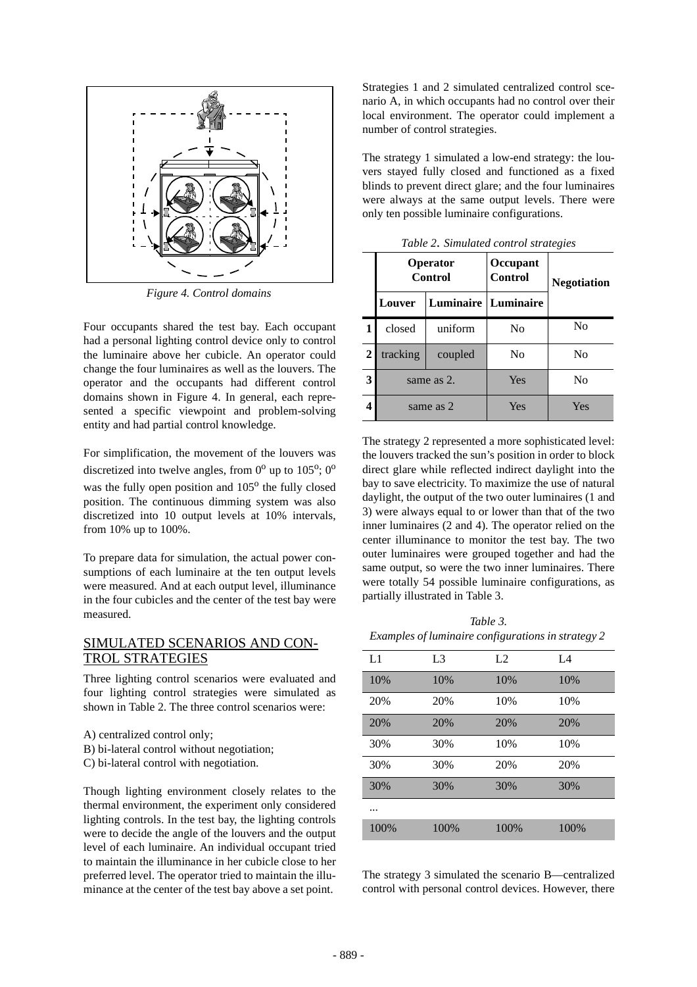

*Figure 4. Control domains*

Four occupants shared the test bay. Each occupant had a personal lighting control device only to control the luminaire above her cubicle. An operator could change the four luminaires as well as the louvers. The operator and the occupants had different control domains shown in Figure 4. In general, each represented a specific viewpoint and problem-solving entity and had partial control knowledge.

For simplification, the movement of the louvers was discretized into twelve angles, from  $0^{\circ}$  up to  $105^{\circ}$ ;  $0^{\circ}$ was the fully open position and 105<sup>o</sup> the fully closed position. The continuous dimming system was also discretized into 10 output levels at 10% intervals, from 10% up to 100%.

To prepare data for simulation, the actual power consumptions of each luminaire at the ten output levels were measured. And at each output level, illuminance in the four cubicles and the center of the test bay were measured.

### SIMULATED SCENARIOS AND CON-TROL STRATEGIES

Three lighting control scenarios were evaluated and four lighting control strategies were simulated as shown in Table 2. The three control scenarios were:

- A) centralized control only;
- B) bi-lateral control without negotiation;
- C) bi-lateral control with negotiation.

Though lighting environment closely relates to the thermal environment, the experiment only considered lighting controls. In the test bay, the lighting controls were to decide the angle of the louvers and the output level of each luminaire. An individual occupant tried to maintain the illuminance in her cubicle close to her preferred level. The operator tried to maintain the illuminance at the center of the test bay above a set point.

Strategies 1 and 2 simulated centralized control scenario A, in which occupants had no control over their local environment. The operator could implement a number of control strategies.

The strategy 1 simulated a low-end strategy: the louvers stayed fully closed and functioned as a fixed blinds to prevent direct glare; and the four luminaires were always at the same output levels. There were only ten possible luminaire configurations.

|                  | <b>Operator</b><br>Control |                            | Occupant<br><b>Control</b> |                |  |
|------------------|----------------------------|----------------------------|----------------------------|----------------|--|
|                  | Louver                     | <b>Luminaire</b> Luminaire |                            |                |  |
|                  | closed                     | uniform                    | No                         | No             |  |
| $\boldsymbol{2}$ | tracking                   | coupled                    | No                         | N <sub>0</sub> |  |
| 3                | same as 2.                 |                            | Yes                        | No             |  |
|                  | same as 2                  |                            | Yes                        | Yes            |  |

*Table 2. Simulated control strategies*

The strategy 2 represented a more sophisticated level: the louvers tracked the sun's position in order to block direct glare while reflected indirect daylight into the bay to save electricity. To maximize the use of natural daylight, the output of the two outer luminaires (1 and 3) were always equal to or lower than that of the two inner luminaires (2 and 4). The operator relied on the center illuminance to monitor the test bay. The two outer luminaires were grouped together and had the same output, so were the two inner luminaires. There were totally 54 possible luminaire configurations, as partially illustrated in Table 3.

*Table 3. Examples of luminaire configurations in strategy 2* 

| L1   | L <sub>3</sub> | L2   | L4   |
|------|----------------|------|------|
| 10%  | 10%            | 10%  | 10%  |
| 20%  | 20%            | 10%  | 10%  |
| 20%  | 20%            | 20%  | 20%  |
| 30%  | 30%            | 10%  | 10%  |
| 30%  | 30%            | 20%  | 20%  |
| 30%  | 30%            | 30%  | 30%  |
|      |                |      |      |
| 100% | 100%           | 100% | 100% |

The strategy 3 simulated the scenario B—centralized control with personal control devices. However, there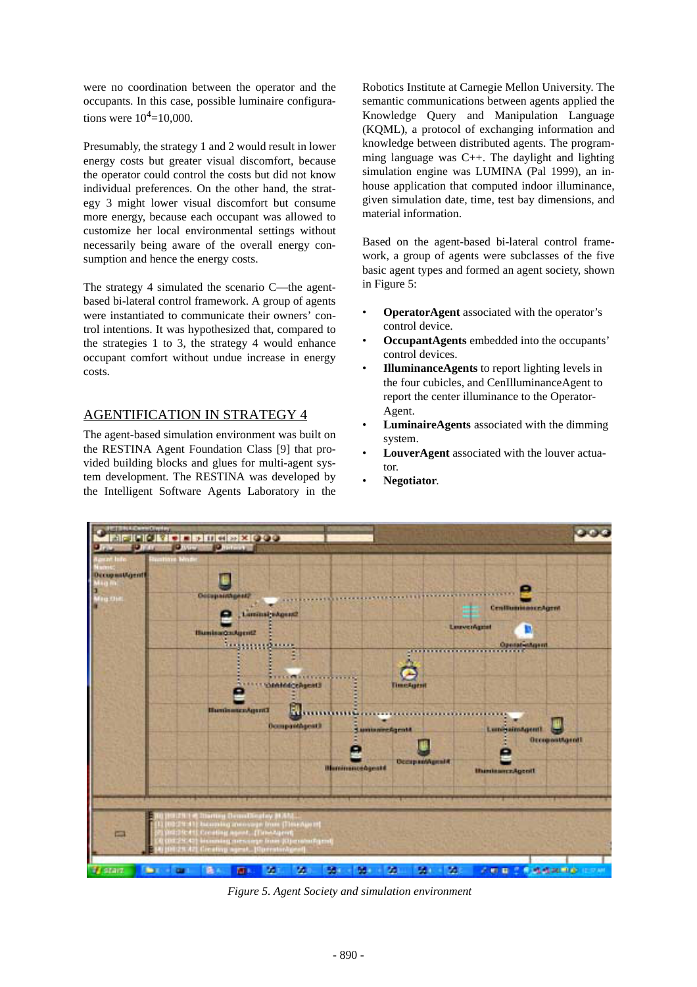were no coordination between the operator and the occupants. In this case, possible luminaire configurations were  $10^4$ =10,000.

Presumably, the strategy 1 and 2 would result in lower energy costs but greater visual discomfort, because the operator could control the costs but did not know individual preferences. On the other hand, the strategy 3 might lower visual discomfort but consume more energy, because each occupant was allowed to customize her local environmental settings without necessarily being aware of the overall energy consumption and hence the energy costs.

The strategy 4 simulated the scenario C—the agentbased bi-lateral control framework. A group of agents were instantiated to communicate their owners' control intentions. It was hypothesized that, compared to the strategies 1 to 3, the strategy 4 would enhance occupant comfort without undue increase in energy costs.

### AGENTIFICATION IN STRATEGY 4

The agent-based simulation environment was built on the RESTINA Agent Foundation Class [9] that provided building blocks and glues for multi-agent system development. The RESTINA was developed by the Intelligent Software Agents Laboratory in the Robotics Institute at Carnegie Mellon University. The semantic communications between agents applied the Knowledge Query and Manipulation Language (KQML), a protocol of exchanging information and knowledge between distributed agents. The programming language was C++. The daylight and lighting simulation engine was LUMINA (Pal 1999), an inhouse application that computed indoor illuminance, given simulation date, time, test bay dimensions, and material information.

Based on the agent-based bi-lateral control framework, a group of agents were subclasses of the five basic agent types and formed an agent society, shown in Figure 5:

- **OperatorAgent** associated with the operator's control device.
- **OccupantAgents** embedded into the occupants' control devices.
- **IlluminanceAgents** to report lighting levels in the four cubicles, and CenIlluminanceAgent to report the center illuminance to the Operator-Agent.
- **LuminaireAgents** associated with the dimming system.
- LouverAgent associated with the louver actuator.
- **Negotiator**.



*Figure 5. Agent Society and simulation environment*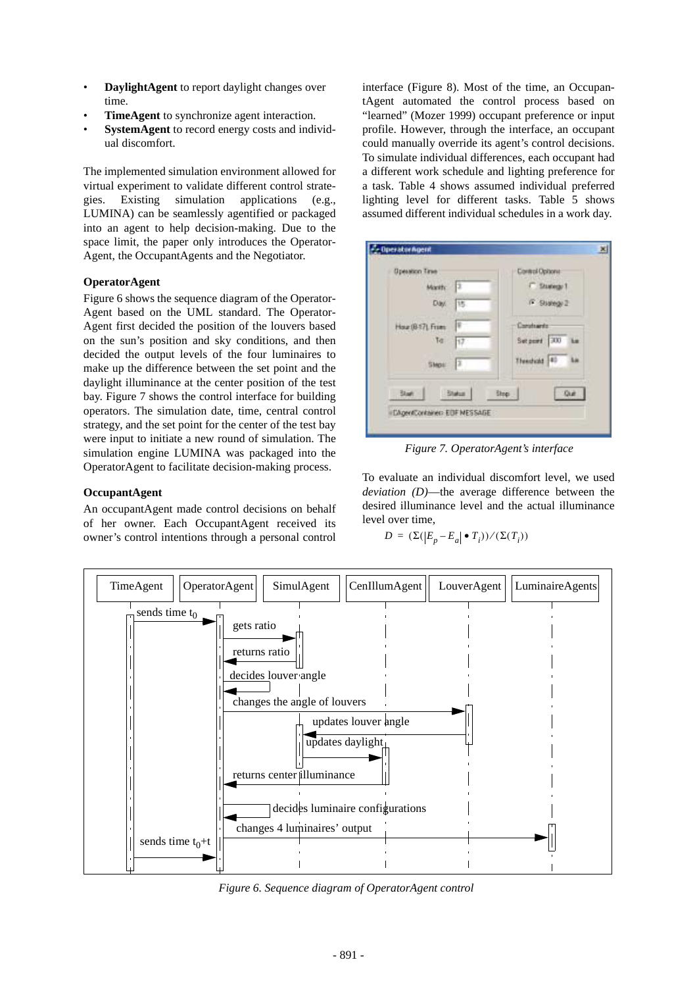- **DaylightAgent** to report daylight changes over time.
- **TimeAgent** to synchronize agent interaction.
- SystemAgent to record energy costs and individual discomfort.

The implemented simulation environment allowed for virtual experiment to validate different control strategies. Existing simulation applications (e.g., LUMINA) can be seamlessly agentified or packaged into an agent to help decision-making. Due to the space limit, the paper only introduces the Operator-Agent, the OccupantAgents and the Negotiator.

#### **OperatorAgent**

Figure 6 shows the sequence diagram of the Operator-Agent based on the UML standard. The Operator-Agent first decided the position of the louvers based on the sun's position and sky conditions, and then decided the output levels of the four luminaires to make up the difference between the set point and the daylight illuminance at the center position of the test bay. Figure 7 shows the control interface for building operators. The simulation date, time, central control strategy, and the set point for the center of the test bay were input to initiate a new round of simulation. The simulation engine LUMINA was packaged into the OperatorAgent to facilitate decision-making process.

#### **OccupantAgent**

An occupantAgent made control decisions on behalf of her owner. Each OccupantAgent received its owner's control intentions through a personal control interface (Figure 8). Most of the time, an OccupantAgent automated the control process based on "learned" (Mozer 1999) occupant preference or input profile. However, through the interface, an occupant could manually override its agent's control decisions. To simulate individual differences, each occupant had a different work schedule and lighting preference for a task. Table 4 shows assumed individual preferred lighting level for different tasks. Table 5 shows assumed different individual schedules in a work day.

| Operation Tiree   |               | <b>Control Opisorie</b> |
|-------------------|---------------|-------------------------|
| Marity            | IΣ            | <b>C. Studegy 1</b>     |
| Day.              | 15            | F Stategy 2             |
| Hour (6-17), From | ¢             | Constructs              |
| To                | 17.           | Setport 100 hm          |
| Steps:            | Iх            | Thendicks 40 Lin        |
| <b>Start</b>      | <b>Status</b> | Que :<br>Stop           |

*Figure 7. OperatorAgent's interface*

To evaluate an individual discomfort level, we used *deviation (D)*—the average difference between the desired illuminance level and the actual illuminance level over time,

$$
D = (\Sigma(|E_p - E_a| \bullet T_i)) / (\Sigma(T_i))
$$



*Figure 6. Sequence diagram of OperatorAgent control*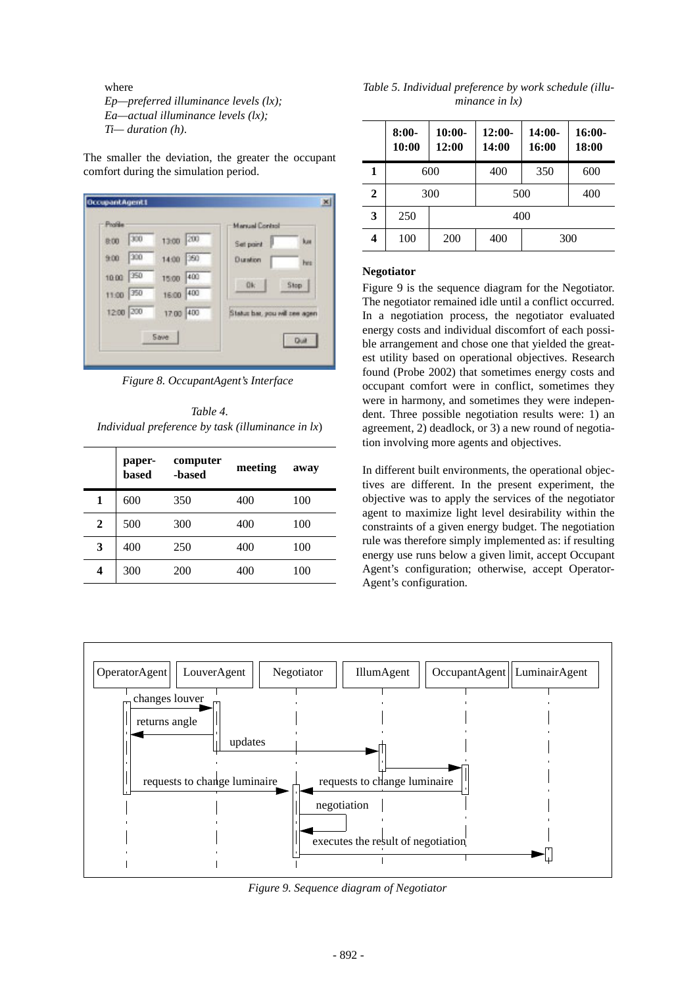where

*Ep—preferred illuminance levels (lx); Ea—actual illuminance levels (lx); Ti— duration (h)*.

The smaller the deviation, the greater the occupant comfort during the simulation period.

| Profile      |           | <b>Manual Control</b>          |
|--------------|-----------|--------------------------------|
| 300<br>8:00  | 13:00 200 | kas<br>Set point               |
| 300<br>9:00  | 14:00 350 | Duration<br>her                |
| 350<br>10:00 | 15:00 400 | Stop  <br><b>Ok</b>            |
| 350<br>11:00 | 16:00 400 |                                |
| 12:00 200    | 17.00 400 | Status bar, you will see agent |
|              | Save      | Dul                            |

*Figure 8. OccupantAgent's Interface*

*Table 4. Individual preference by task (illuminance in lx*)

|   | paper-<br>based | computer<br>-based | meeting | away |
|---|-----------------|--------------------|---------|------|
| 1 | 600             | 350                | 400     | 100  |
| 2 | 500             | 300                | 400     | 100  |
| 3 | 400             | 250                | 400     | 100  |
| 4 | 300             | 200                | 400     | 100  |

| Table 5. Individual preference by work schedule (illu- |
|--------------------------------------------------------|
| minance in $\{x\}$                                     |

|              | $8:00-$<br>10:00 | $10:00-$<br>12:00 | $12:00-$<br>14:00 | $14:00-$<br>16:00 | $16:00-$<br>18:00 |
|--------------|------------------|-------------------|-------------------|-------------------|-------------------|
| 1            | 600              |                   | 400               | 350               | 600               |
| $\mathbf{2}$ |                  | 300               |                   | 500               | 400               |
| 3            | 250              | 400               |                   |                   |                   |
| 4            | 100              | 200<br>400<br>300 |                   |                   |                   |

#### **Negotiator**

Figure 9 is the sequence diagram for the Negotiator. The negotiator remained idle until a conflict occurred. In a negotiation process, the negotiator evaluated energy costs and individual discomfort of each possible arrangement and chose one that yielded the greatest utility based on operational objectives. Research found (Probe 2002) that sometimes energy costs and occupant comfort were in conflict, sometimes they were in harmony, and sometimes they were independent. Three possible negotiation results were: 1) an agreement, 2) deadlock, or 3) a new round of negotiation involving more agents and objectives.

In different built environments, the operational objectives are different. In the present experiment, the objective was to apply the services of the negotiator agent to maximize light level desirability within the constraints of a given energy budget. The negotiation rule was therefore simply implemented as: if resulting energy use runs below a given limit, accept Occupant Agent's configuration; otherwise, accept Operator-Agent's configuration.



*Figure 9. Sequence diagram of Negotiator*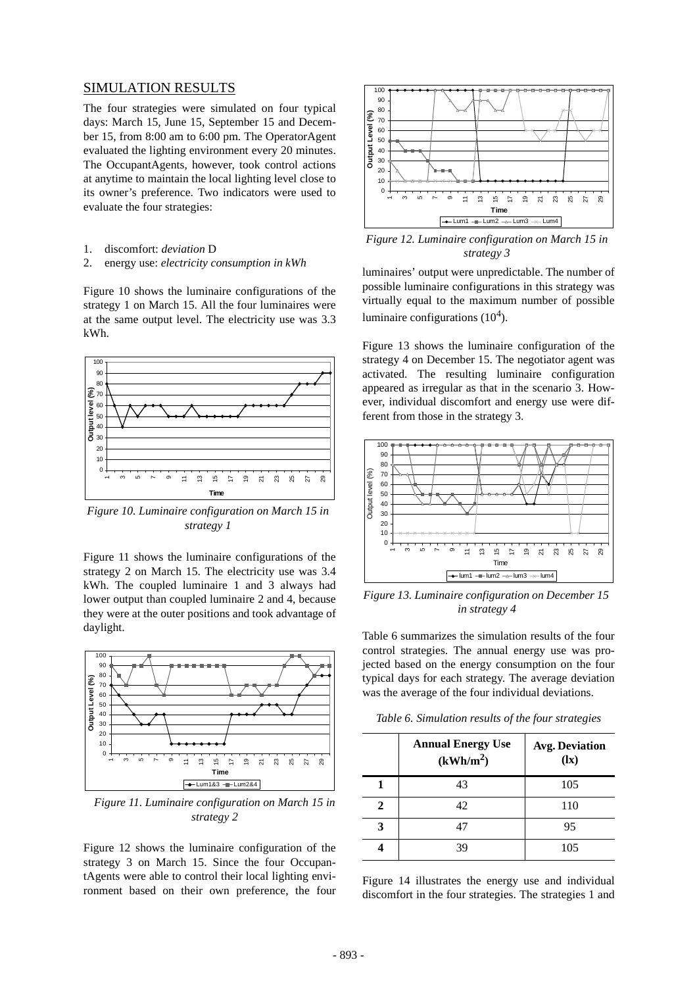### SIMULATION RESULTS

The four strategies were simulated on four typical days: March 15, June 15, September 15 and December 15, from 8:00 am to 6:00 pm. The OperatorAgent evaluated the lighting environment every 20 minutes. The OccupantAgents, however, took control actions at anytime to maintain the local lighting level close to its owner's preference. Two indicators were used to evaluate the four strategies:

- 1. discomfort: *deviation* D
- 2. energy use: *electricity consumption in kWh*

Figure 10 shows the luminaire configurations of the strategy 1 on March 15. All the four luminaires were at the same output level. The electricity use was 3.3 kWh.



*Figure 10. Luminaire configuration on March 15 in strategy 1*

Figure 11 shows the luminaire configurations of the strategy 2 on March 15. The electricity use was 3.4 kWh. The coupled luminaire 1 and 3 always had lower output than coupled luminaire 2 and 4, because they were at the outer positions and took advantage of daylight.



*Figure 11. Luminaire configuration on March 15 in strategy 2* 

Figure 12 shows the luminaire configuration of the strategy 3 on March 15. Since the four OccupantAgents were able to control their local lighting environment based on their own preference, the four



*Figure 12. Luminaire configuration on March 15 in strategy 3*

luminaires' output were unpredictable. The number of possible luminaire configurations in this strategy was virtually equal to the maximum number of possible luminaire configurations  $(10^4)$ .

Figure 13 shows the luminaire configuration of the strategy 4 on December 15. The negotiator agent was activated. The resulting luminaire configuration appeared as irregular as that in the scenario 3. However, individual discomfort and energy use were different from those in the strategy 3.



*Figure 13. Luminaire configuration on December 15 in strategy 4*

Table 6 summarizes the simulation results of the four control strategies. The annual energy use was projected based on the energy consumption on the four typical days for each strategy. The average deviation was the average of the four individual deviations.

| Table 6. Simulation results of the four strategies |  |  |  |
|----------------------------------------------------|--|--|--|
|----------------------------------------------------|--|--|--|

|    | <b>Annual Energy Use</b><br>(kWh/m <sup>2</sup> ) | <b>Avg. Deviation</b><br>(lx) |
|----|---------------------------------------------------|-------------------------------|
|    | 43                                                | 105                           |
| 2. | 42                                                | 110                           |
|    | 47                                                | 95                            |
|    | 39                                                | 105                           |

Figure 14 illustrates the energy use and individual discomfort in the four strategies. The strategies 1 and